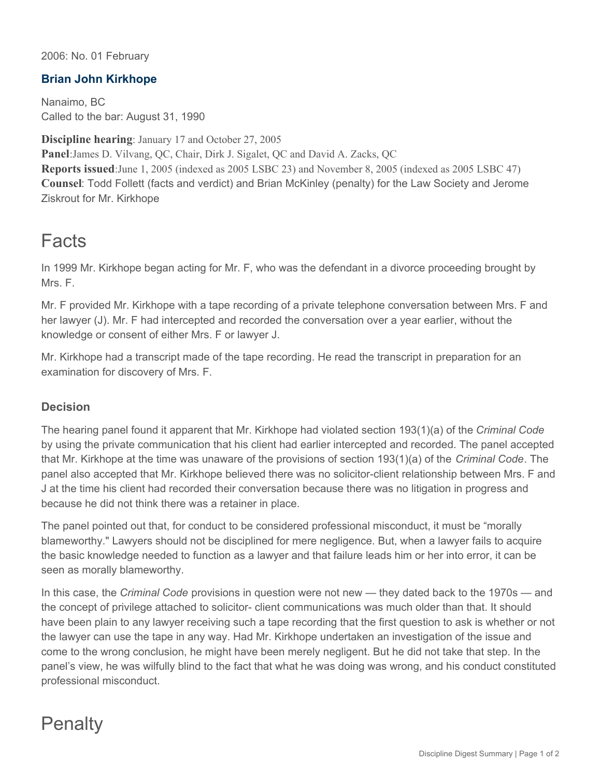2006: No. 01 February

## **Brian John Kirkhope**

Nanaimo, BC Called to the bar: August 31, 1990

**Discipline hearing**: January 17 and October 27, 2005 **Panel**:James D. Vilvang, QC, Chair, Dirk J. Sigalet, QC and David A. Zacks, QC **Reports issued**:June 1, 2005 (indexed as 2005 LSBC 23) and November 8, 2005 (indexed as 2005 LSBC 47) **Counsel**: Todd Follett (facts and verdict) and Brian McKinley (penalty) for the Law Society and Jerome Ziskrout for Mr. Kirkhope

## Facts

In 1999 Mr. Kirkhope began acting for Mr. F, who was the defendant in a divorce proceeding brought by Mrs. F.

Mr. F provided Mr. Kirkhope with a tape recording of a private telephone conversation between Mrs. F and her lawyer (J). Mr. F had intercepted and recorded the conversation over a year earlier, without the knowledge or consent of either Mrs. F or lawyer J.

Mr. Kirkhope had a transcript made of the tape recording. He read the transcript in preparation for an examination for discovery of Mrs. F.

## **Decision**

The hearing panel found it apparent that Mr. Kirkhope had violated section 193(1)(a) of the *Criminal Code* by using the private communication that his client had earlier intercepted and recorded. The panel accepted that Mr. Kirkhope at the time was unaware of the provisions of section 193(1)(a) of the *Criminal Code*. The panel also accepted that Mr. Kirkhope believed there was no solicitor-client relationship between Mrs. F and J at the time his client had recorded their conversation because there was no litigation in progress and because he did not think there was a retainer in place.

The panel pointed out that, for conduct to be considered professional misconduct, it must be "morally blameworthy." Lawyers should not be disciplined for mere negligence. But, when a lawyer fails to acquire the basic knowledge needed to function as a lawyer and that failure leads him or her into error, it can be seen as morally blameworthy.

In this case, the *Criminal Code* provisions in question were not new — they dated back to the 1970s — and the concept of privilege attached to solicitor- client communications was much older than that. It should have been plain to any lawyer receiving such a tape recording that the first question to ask is whether or not the lawyer can use the tape in any way. Had Mr. Kirkhope undertaken an investigation of the issue and come to the wrong conclusion, he might have been merely negligent. But he did not take that step. In the panel's view, he was wilfully blind to the fact that what he was doing was wrong, and his conduct constituted professional misconduct.

## **Penalty**